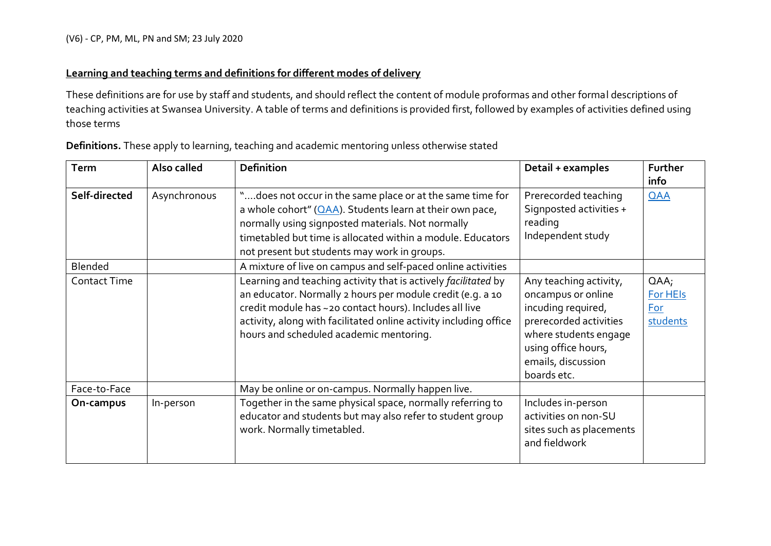## **Learning and teaching terms and definitions for different modes of delivery**

These definitions are for use by staff and students, and should reflect the content of module proformas and other formal descriptions of teaching activities at Swansea University. A table of terms and definitions is provided first, followed by examples of activities defined using those terms

| Term                | Also called  | <b>Definition</b>                                                                                                                                                                                                                                                                                       | Detail + examples                                                                                                                                                                 | Further<br>info                        |
|---------------------|--------------|---------------------------------------------------------------------------------------------------------------------------------------------------------------------------------------------------------------------------------------------------------------------------------------------------------|-----------------------------------------------------------------------------------------------------------------------------------------------------------------------------------|----------------------------------------|
| Self-directed       | Asynchronous | "does not occur in the same place or at the same time for<br>a whole cohort" $(QAA)$ . Students learn at their own pace,<br>normally using signposted materials. Not normally<br>timetabled but time is allocated within a module. Educators<br>not present but students may work in groups.            | Prerecorded teaching<br>Signposted activities +<br>reading<br>Independent study                                                                                                   | <b>QAA</b>                             |
| Blended             |              | A mixture of live on campus and self-paced online activities                                                                                                                                                                                                                                            |                                                                                                                                                                                   |                                        |
| <b>Contact Time</b> |              | Learning and teaching activity that is actively facilitated by<br>an educator. Normally 2 hours per module credit (e.g. a 10<br>credit module has ~20 contact hours). Includes all live<br>activity, along with facilitated online activity including office<br>hours and scheduled academic mentoring. | Any teaching activity,<br>oncampus or online<br>incuding required,<br>prerecorded activities<br>where students engage<br>using office hours,<br>emails, discussion<br>boards etc. | $QAA$ ;<br>For HEIs<br>For<br>students |
| Face-to-Face        |              | May be online or on-campus. Normally happen live.                                                                                                                                                                                                                                                       |                                                                                                                                                                                   |                                        |
| On-campus           | In-person    | Together in the same physical space, normally referring to<br>educator and students but may also refer to student group<br>work. Normally timetabled.                                                                                                                                                   | Includes in-person<br>activities on non-SU<br>sites such as placements<br>and fieldwork                                                                                           |                                        |

**Definitions.** These apply to learning, teaching and academic mentoring unless otherwise stated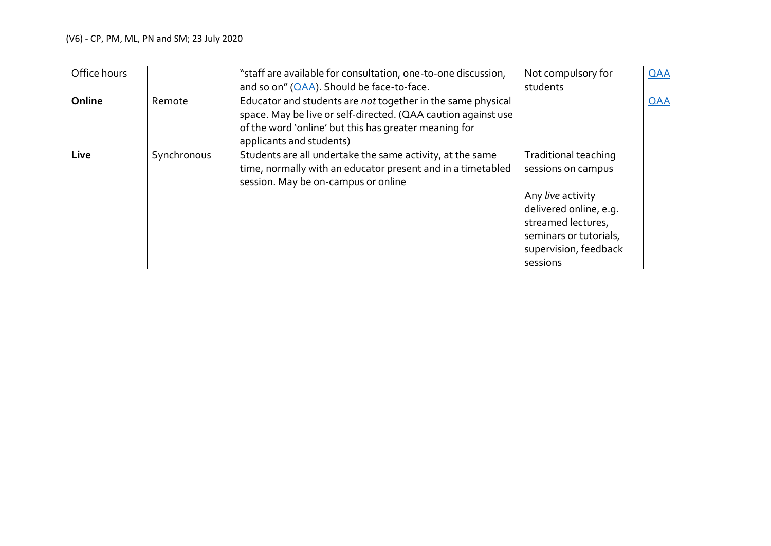## (V6) - CP, PM, ML, PN and SM; 23 July 2020

| Office hours |             | "staff are available for consultation, one-to-one discussion,                                                                                                                                                     | Not compulsory for                                                                                                                                                             | QAA |
|--------------|-------------|-------------------------------------------------------------------------------------------------------------------------------------------------------------------------------------------------------------------|--------------------------------------------------------------------------------------------------------------------------------------------------------------------------------|-----|
|              |             | and so on" (OAA). Should be face-to-face.                                                                                                                                                                         | students                                                                                                                                                                       |     |
| Online       | Remote      | Educator and students are not together in the same physical<br>space. May be live or self-directed. (QAA caution against use<br>of the word 'online' but this has greater meaning for<br>applicants and students) |                                                                                                                                                                                | QAA |
| Live         | Synchronous | Students are all undertake the same activity, at the same<br>time, normally with an educator present and in a timetabled<br>session. May be on-campus or online                                                   | Traditional teaching<br>sessions on campus<br>Any live activity<br>delivered online, e.g.<br>streamed lectures,<br>seminars or tutorials,<br>supervision, feedback<br>sessions |     |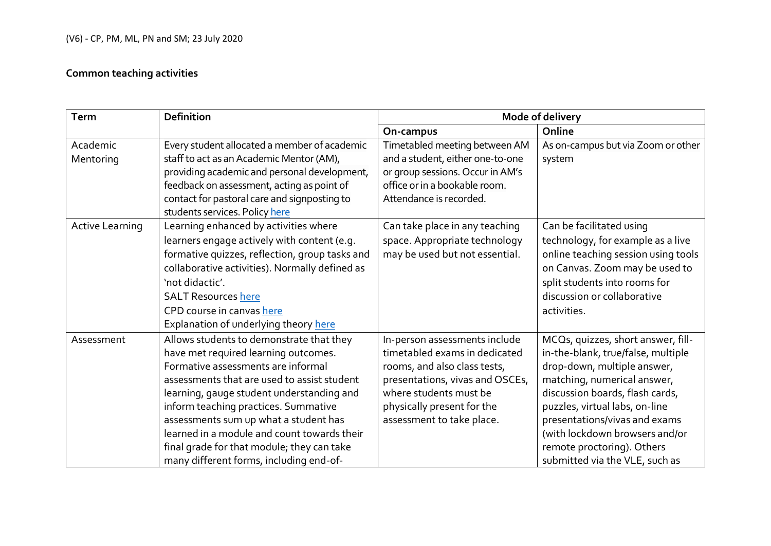## **Common teaching activities**

| <b>Term</b>            | <b>Definition</b>                                                                                                                                                                                                                                                                                                                                                                                                                           | Mode of delivery                                                                                                                                                                                                       |                                                                                                                                                                                                                                                                                                                                                |  |
|------------------------|---------------------------------------------------------------------------------------------------------------------------------------------------------------------------------------------------------------------------------------------------------------------------------------------------------------------------------------------------------------------------------------------------------------------------------------------|------------------------------------------------------------------------------------------------------------------------------------------------------------------------------------------------------------------------|------------------------------------------------------------------------------------------------------------------------------------------------------------------------------------------------------------------------------------------------------------------------------------------------------------------------------------------------|--|
|                        |                                                                                                                                                                                                                                                                                                                                                                                                                                             | On-campus                                                                                                                                                                                                              | Online                                                                                                                                                                                                                                                                                                                                         |  |
| Academic<br>Mentoring  | Every student allocated a member of academic<br>staff to act as an Academic Mentor (AM),<br>providing academic and personal development,<br>feedback on assessment, acting as point of<br>contact for pastoral care and signposting to<br>students services. Policy here                                                                                                                                                                    | Timetabled meeting between AM<br>and a student, either one-to-one<br>or group sessions. Occur in AM's<br>office or in a bookable room.<br>Attendance is recorded.                                                      | As on-campus but via Zoom or other<br>system                                                                                                                                                                                                                                                                                                   |  |
| <b>Active Learning</b> | Learning enhanced by activities where<br>learners engage actively with content (e.g.<br>formative quizzes, reflection, group tasks and<br>collaborative activities). Normally defined as<br>'not didactic'.<br><b>SALT Resources here</b><br>CPD course in canvas here<br>Explanation of underlying theory here                                                                                                                             | Can take place in any teaching<br>space. Appropriate technology<br>may be used but not essential.                                                                                                                      | Can be facilitated using<br>technology, for example as a live<br>online teaching session using tools<br>on Canvas. Zoom may be used to<br>split students into rooms for<br>discussion or collaborative<br>activities.                                                                                                                          |  |
| Assessment             | Allows students to demonstrate that they<br>have met required learning outcomes.<br>Formative assessments are informal<br>assessments that are used to assist student<br>learning, gauge student understanding and<br>inform teaching practices. Summative<br>assessments sum up what a student has<br>learned in a module and count towards their<br>final grade for that module; they can take<br>many different forms, including end-of- | In-person assessments include<br>timetabled exams in dedicated<br>rooms, and also class tests,<br>presentations, vivas and OSCEs,<br>where students must be<br>physically present for the<br>assessment to take place. | MCQs, quizzes, short answer, fill-<br>in-the-blank, true/false, multiple<br>drop-down, multiple answer,<br>matching, numerical answer,<br>discussion boards, flash cards,<br>puzzles, virtual labs, on-line<br>presentations/vivas and exams<br>(with lockdown browsers and/or<br>remote proctoring). Others<br>submitted via the VLE, such as |  |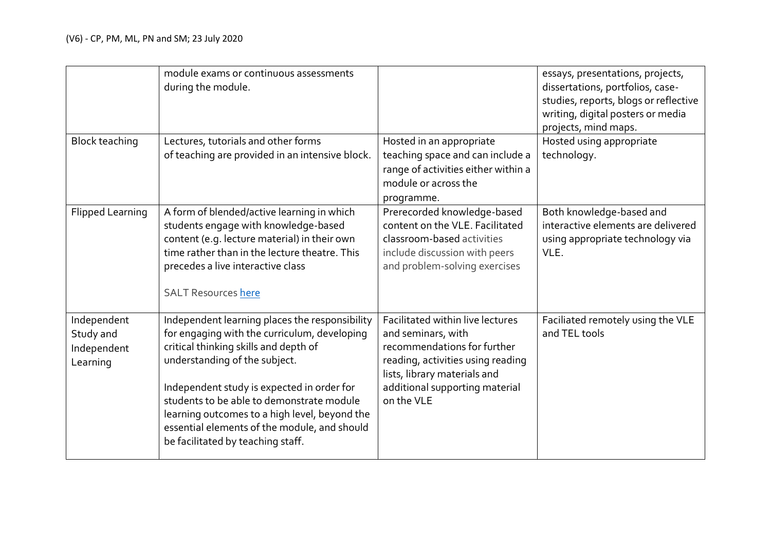|                         | module exams or continuous assessments<br>during the module.                           |                                                                   | essays, presentations, projects,<br>dissertations, portfolios, case-<br>studies, reports, blogs or reflective<br>writing, digital posters or media<br>projects, mind maps. |
|-------------------------|----------------------------------------------------------------------------------------|-------------------------------------------------------------------|----------------------------------------------------------------------------------------------------------------------------------------------------------------------------|
| <b>Block teaching</b>   | Lectures, tutorials and other forms<br>of teaching are provided in an intensive block. | Hosted in an appropriate<br>teaching space and can include a      | Hosted using appropriate<br>technology.                                                                                                                                    |
|                         |                                                                                        | range of activities either within a                               |                                                                                                                                                                            |
|                         |                                                                                        | module or across the                                              |                                                                                                                                                                            |
|                         |                                                                                        | programme.                                                        |                                                                                                                                                                            |
| <b>Flipped Learning</b> | A form of blended/active learning in which<br>students engage with knowledge-based     | Prerecorded knowledge-based<br>content on the VLE. Facilitated    | Both knowledge-based and<br>interactive elements are delivered                                                                                                             |
|                         | content (e.g. lecture material) in their own                                           | classroom-based activities                                        | using appropriate technology via                                                                                                                                           |
|                         | time rather than in the lecture theatre. This                                          | include discussion with peers                                     | VLE.                                                                                                                                                                       |
|                         | precedes a live interactive class                                                      | and problem-solving exercises                                     |                                                                                                                                                                            |
|                         | <b>SALT Resources here</b>                                                             |                                                                   |                                                                                                                                                                            |
| Independent             | Independent learning places the responsibility                                         | Facilitated within live lectures                                  | Faciliated remotely using the VLE                                                                                                                                          |
| Study and               | for engaging with the curriculum, developing                                           | and seminars, with                                                | and TEL tools                                                                                                                                                              |
| Independent             | critical thinking skills and depth of                                                  | recommendations for further                                       |                                                                                                                                                                            |
| Learning                | understanding of the subject.                                                          | reading, activities using reading<br>lists, library materials and |                                                                                                                                                                            |
|                         | Independent study is expected in order for                                             | additional supporting material                                    |                                                                                                                                                                            |
|                         | students to be able to demonstrate module                                              | on the VLE                                                        |                                                                                                                                                                            |
|                         | learning outcomes to a high level, beyond the                                          |                                                                   |                                                                                                                                                                            |
|                         | essential elements of the module, and should<br>be facilitated by teaching staff.      |                                                                   |                                                                                                                                                                            |
|                         |                                                                                        |                                                                   |                                                                                                                                                                            |